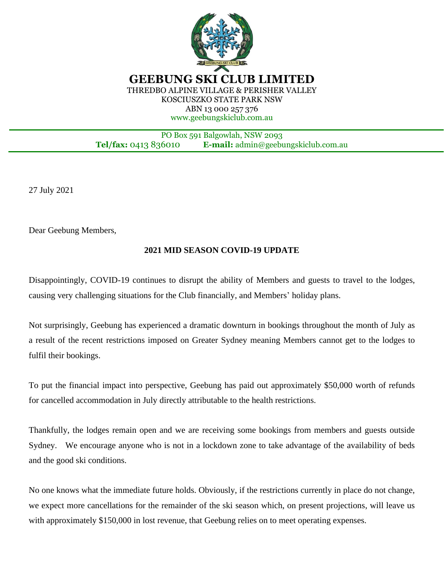

**GEEBUNG SKI CLUB LIMITED** THREDBO ALPINE VILLAGE & PERISHER VALLEY KOSCIUSZKO STATE PARK NSW ABN 13 000 257 376 www.geebungskiclub.com.au

PO Box 591 Balgowlah, NSW 2093 **Tel/fax:** 0413 836010 **E-mail:** admin@geebungskiclub.com.au

27 July 2021

Ī

Dear Geebung Members,

## **2021 MID SEASON COVID-19 UPDATE**

Disappointingly, COVID-19 continues to disrupt the ability of Members and guests to travel to the lodges, causing very challenging situations for the Club financially, and Members' holiday plans.

Not surprisingly, Geebung has experienced a dramatic downturn in bookings throughout the month of July as a result of the recent restrictions imposed on Greater Sydney meaning Members cannot get to the lodges to fulfil their bookings.

To put the financial impact into perspective, Geebung has paid out approximately \$50,000 worth of refunds for cancelled accommodation in July directly attributable to the health restrictions.

Thankfully, the lodges remain open and we are receiving some bookings from members and guests outside Sydney. We encourage anyone who is not in a lockdown zone to take advantage of the availability of beds and the good ski conditions.

No one knows what the immediate future holds. Obviously, if the restrictions currently in place do not change, we expect more cancellations for the remainder of the ski season which, on present projections, will leave us with approximately \$150,000 in lost revenue, that Geebung relies on to meet operating expenses.